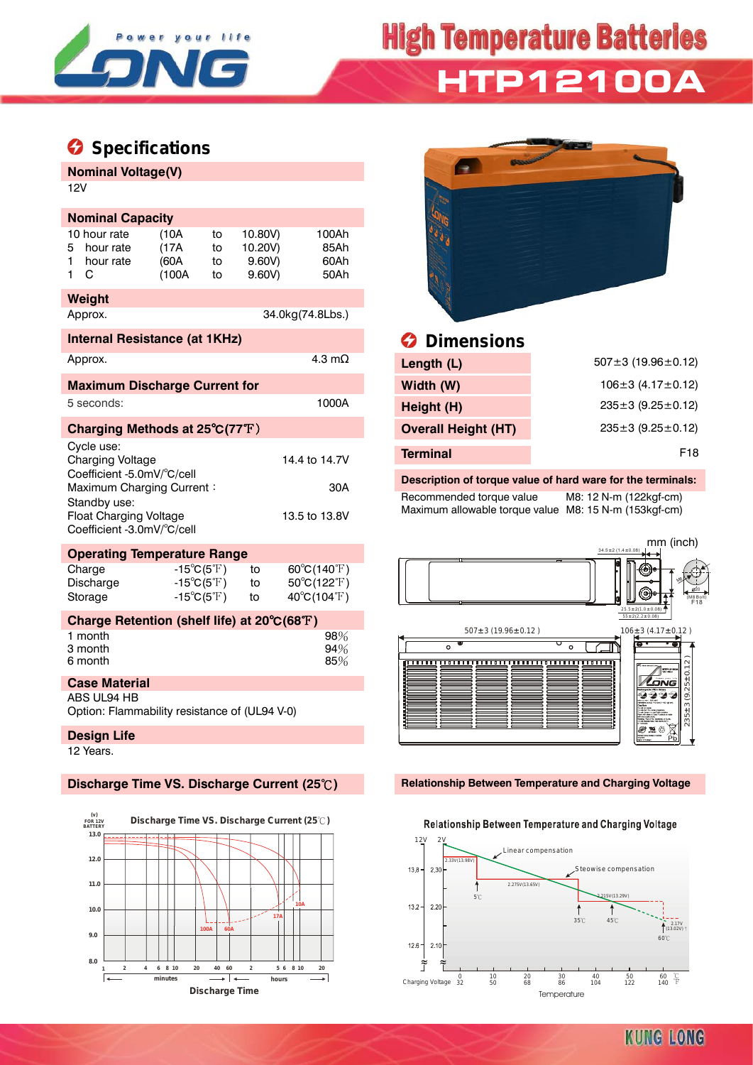

# **High Temperature Batteries HTP12100A**

## **Specifications**

#### **Nominal Voltage(V)** 12V

| <b>Nominal Capacity</b>                                                                                                                                                                                                  |                                             |                                                                                        |                      |                                      |                                                                           |  |  |  |  |  |
|--------------------------------------------------------------------------------------------------------------------------------------------------------------------------------------------------------------------------|---------------------------------------------|----------------------------------------------------------------------------------------|----------------------|--------------------------------------|---------------------------------------------------------------------------|--|--|--|--|--|
| 5<br>1<br>1                                                                                                                                                                                                              | 10 hour rate<br>hour rate<br>hour rate<br>С | (10A<br>(17A)<br>(60A)<br>(100A                                                        | to<br>to<br>to<br>t٥ | 10.80V)<br>10.20V)<br>9.60V<br>9.60V | 100Ah<br>85Ah<br>60Ah<br>50Ah                                             |  |  |  |  |  |
|                                                                                                                                                                                                                          | Weight                                      |                                                                                        |                      |                                      |                                                                           |  |  |  |  |  |
|                                                                                                                                                                                                                          | Approx.<br>34.0kg(74.8Lbs.)                 |                                                                                        |                      |                                      |                                                                           |  |  |  |  |  |
|                                                                                                                                                                                                                          | <b>Internal Resistance (at 1KHz)</b>        |                                                                                        |                      |                                      |                                                                           |  |  |  |  |  |
| 4.3 m $\Omega$<br>Approx.                                                                                                                                                                                                |                                             |                                                                                        |                      |                                      |                                                                           |  |  |  |  |  |
|                                                                                                                                                                                                                          | <b>Maximum Discharge Current for</b>        |                                                                                        |                      |                                      |                                                                           |  |  |  |  |  |
|                                                                                                                                                                                                                          | 5 seconds:                                  |                                                                                        |                      |                                      | 1000A                                                                     |  |  |  |  |  |
|                                                                                                                                                                                                                          | Charging Methods at 25°C(77°F)              |                                                                                        |                      |                                      |                                                                           |  |  |  |  |  |
| Cycle use:<br><b>Charging Voltage</b><br>14.4 to 14.7V<br>Coefficient -5.0mV/°C/cell<br>Maximum Charging Current:<br>30A<br>Standby use:<br><b>Float Charging Voltage</b><br>13.5 to 13.8V<br>Coefficient -3.0mV/°C/cell |                                             |                                                                                        |                      |                                      |                                                                           |  |  |  |  |  |
| <b>Operating Temperature Range</b>                                                                                                                                                                                       |                                             |                                                                                        |                      |                                      |                                                                           |  |  |  |  |  |
|                                                                                                                                                                                                                          | Charge<br>Discharge<br>Storage              | $-15^{\circ}C(5^{\circ}F)$<br>$-15^{\circ}C(5^{\circ}F)$<br>$-15^{\circ}C(5^{\circ}F)$ |                      | t٥<br>to<br>to                       | $60^{\circ}C(140^{\circ}F)$<br>50°C(122°F)<br>$40^{\circ}C(104^{\circ}F)$ |  |  |  |  |  |
|                                                                                                                                                                                                                          | Charge Retention (shelf life) at 20°C(68°F) |                                                                                        |                      |                                      |                                                                           |  |  |  |  |  |
|                                                                                                                                                                                                                          | 1 month<br>3 month<br>6 month               |                                                                                        |                      |                                      | 98%<br>94%<br>85%                                                         |  |  |  |  |  |
| <b>Case Material</b>                                                                                                                                                                                                     |                                             |                                                                                        |                      |                                      |                                                                           |  |  |  |  |  |
| ABS UL94 HB<br>Option: Flammability resistance of (UL94 V-0)                                                                                                                                                             |                                             |                                                                                        |                      |                                      |                                                                           |  |  |  |  |  |
|                                                                                                                                                                                                                          | <b>Design Life</b>                          |                                                                                        |                      |                                      |                                                                           |  |  |  |  |  |
|                                                                                                                                                                                                                          | 12 Years.                                   |                                                                                        |                      |                                      |                                                                           |  |  |  |  |  |





### *<u>B* Dimensions</u>

| Approx.                               | 4.3 m $\Omega$ | Length (L)                 | $507 \pm 3 (19.96 \pm 0.12)$  |
|---------------------------------------|----------------|----------------------------|-------------------------------|
| <b>Maximum Discharge Current for</b>  |                | Width (W)                  | $106 \pm 3$ (4.17 $\pm$ 0.12) |
| 5 seconds:                            | 1000A          | Height (H)                 | $235 \pm 3$ (9.25 $\pm$ 0.12) |
| Charging Methods at 25°C(77°F)        |                | <b>Overall Height (HT)</b> | $235 \pm 3$ (9.25 $\pm$ 0.12) |
| Cycle use:<br><b>Charging Voltage</b> | 14.4 to 14.7V  | <b>Terminal</b>            | F <sub>18</sub>               |

#### **Description of torque value of hard ware for the terminals:**

Recommended torque value M8: 12 N-m (122kgf-cm) Maximum allowable torque value M8: 15 N-m (153kgf-cm)



#### **Discharge Time VS. Discharge Current (25**℃**) Relationship Between Temperature and Charging Voltage**

#### Relationship Between Temperature and Charging Voltage